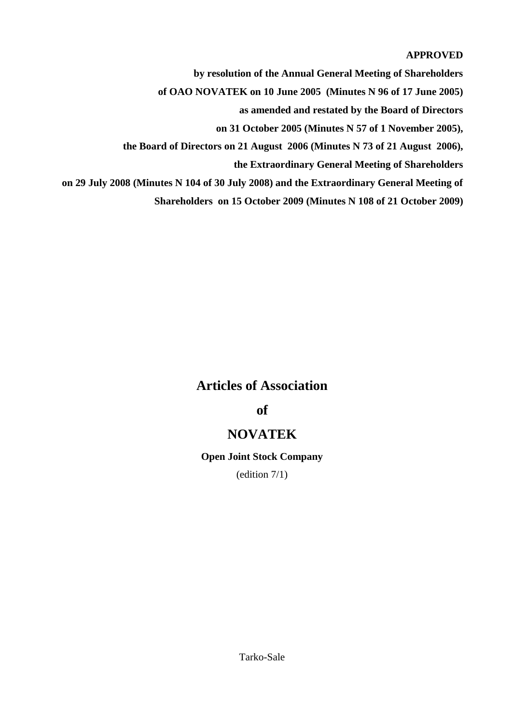## **APPROVED**

**by resolution of the Annual General Meeting of Shareholders** 

**of OAO NOVATEK on 10 June 2005 (Minutes N 96 of 17 June 2005)**

**as amended and restated by the Board of Directors** 

**on 31 October 2005 (Minutes N 57 of 1 November 2005),** 

**the Board of Directors on 21 August 2006 (Minutes N 73 of 21 August 2006),** 

**the Extraordinary General Meeting of Shareholders** 

**on 29 July 2008 (Minutes N 104 of 30 July 2008) and the Extraordinary General Meeting of** 

**Shareholders on 15 October 2009 (Minutes N 108 of 21 October 2009)**

## **Articles of Association**

# **of**

## **NOVATEK**

## **Open Joint Stock Company**

(edition 7/1)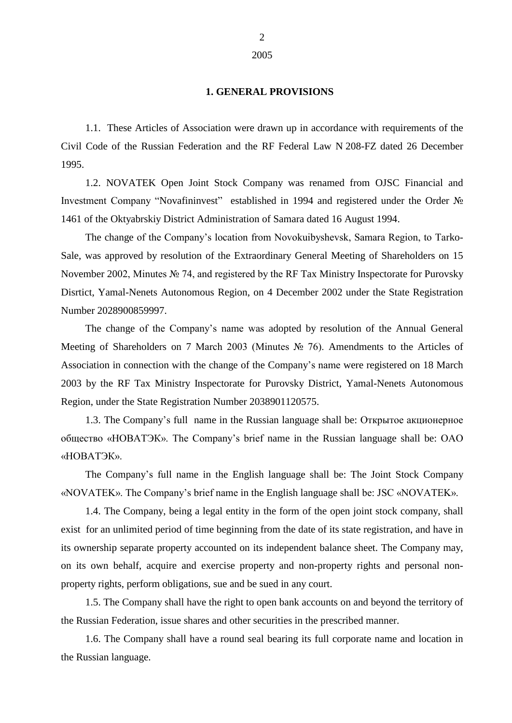#### **1. GENERAL PROVISIONS**

1.1. These Articles of Association were drawn up in accordance with requirements of the Civil Code of the Russian Federation and the RF Federal Law N 208-FZ dated 26 December 1995.

1.2. NOVATEK Open Joint Stock Company was renamed from OJSC Financial and Investment Company "Novafininvest" established in 1994 and registered under the Order № 1461 of the Oktyabrskiy District Administration of Samara dated 16 August 1994.

The change of the Company"s location from Novokuibyshevsk, Samara Region, to Tarko-Sale, was approved by resolution of the Extraordinary General Meeting of Shareholders on 15 November 2002, Minutes № 74, and registered by the RF Tax Ministry Inspectorate for Purovsky Disrtict, Yamal-Nenets Autonomous Region, on 4 December 2002 under the State Registration Number 2028900859997.

The change of the Company"s name was adopted by resolution of the Annual General Meeting of Shareholders on 7 March 2003 (Minutes № 76). Amendments to the Articles of Association in connection with the change of the Company"s name were registered on 18 March 2003 by the RF Tax Ministry Inspectorate for Purovsky District, Yamal-Nenets Autonomous Region, under the State Registration Number 2038901120575.

1.3. The Company"s full name in the Russian language shall be: Открытое акционерное общество «НОВАТЭК». The Company"s brief name in the Russian language shall be: ОАО «НОВАТЭК».

The Company"s full name in the English language shall be: The Joint Stock Company «NOVATEK». The Company"s brief name in the English language shall be: JSC «NOVATEK».

1.4. The Company, being a legal entity in the form of the open joint stock company, shall exist for an unlimited period of time beginning from the date of its state registration, and have in its ownership separate property accounted on its independent balance sheet. The Company may, on its own behalf, acquire and exercise property and non-property rights and personal nonproperty rights, perform obligations, sue and be sued in any court.

1.5. The Company shall have the right to open bank accounts on and beyond the territory of the Russian Federation, issue shares and other securities in the prescribed manner.

1.6. The Company shall have a round seal bearing its full corporate name and location in the Russian language.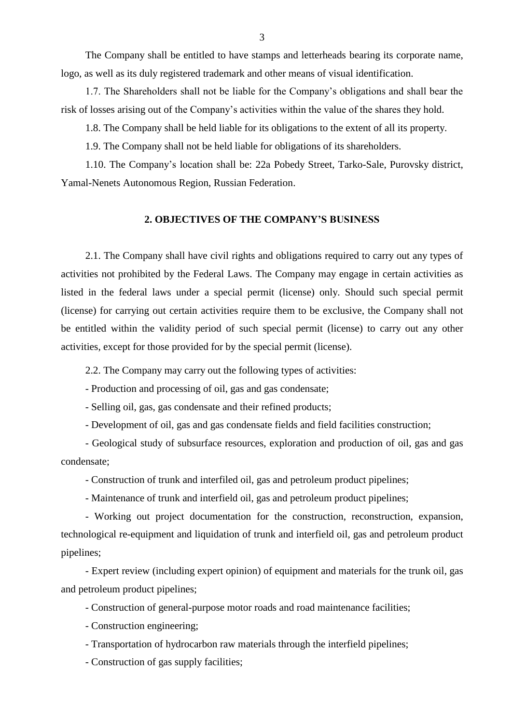The Company shall be entitled to have stamps and letterheads bearing its corporate name, logo, as well as its duly registered trademark and other means of visual identification.

1.7. The Shareholders shall not be liable for the Company"s obligations and shall bear the risk of losses arising out of the Company"s activities within the value of the shares they hold.

1.8. The Company shall be held liable for its obligations to the extent of all its property.

1.9. The Company shall not be held liable for obligations of its shareholders.

1.10. The Company"s location shall be: 22а Pobedy Street, Tarko-Sale, Purovsky district, Yamal-Nenets Autonomous Region, Russian Federation.

### **2. OBJECTIVES OF THE COMPANY'S BUSINESS**

2.1. The Company shall have civil rights and obligations required to carry out any types of activities not prohibited by the Federal Laws. The Company may engage in certain activities as listed in the federal laws under a special permit (license) only. Should such special permit (license) for carrying out certain activities require them to be exclusive, the Company shall not be entitled within the validity period of such special permit (license) to carry out any other activities, except for those provided for by the special permit (license).

2.2. The Company may carry out the following types of activities:

- Production and processing of oil, gas and gas condensate;

- Selling oil, gas, gas condensate and their refined products;

- Development of oil, gas and gas condensate fields and field facilities construction;

- Geological study of subsurface resources, exploration and production of oil, gas and gas condensate;

- Construction of trunk and interfiled oil, gas and petroleum product pipelines;

- Maintenance of trunk and interfield oil, gas and petroleum product pipelines;

- Working out project documentation for the construction, reconstruction, expansion, technological re-equipment and liquidation of trunk and interfield oil, gas and petroleum product pipelines;

- Expert review (including expert opinion) of equipment and materials for the trunk oil, gas and petroleum product pipelines;

- Construction of general-purpose motor roads and road maintenance facilities;

- Construction engineering;

- Transportation of hydrocarbon raw materials through the interfield pipelines;

- Construction of gas supply facilities;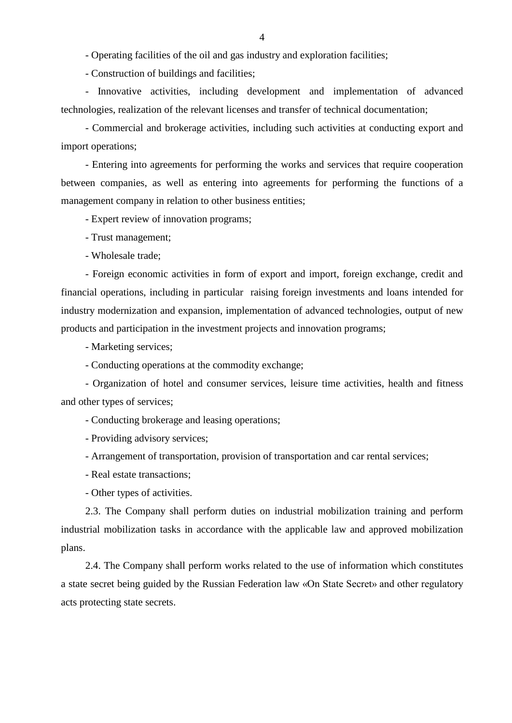- Operating facilities of the oil and gas industry and exploration facilities;

- Construction of buildings and facilities;

- Innovative activities, including development and implementation of advanced technologies, realization of the relevant licenses and transfer of technical documentation;

- Commercial and brokerage activities, including such activities at conducting export and import operations;

- Entering into agreements for performing the works and services that require cooperation between companies, as well as entering into agreements for performing the functions of a management company in relation to other business entities;

- Expert review of innovation programs;

- Trust management;

- Wholesale trade;

- Foreign economic activities in form of export and import, foreign exchange, credit and financial operations, including in particular raising foreign investments and loans intended for industry modernization and expansion, implementation of advanced technologies, output of new products and participation in the investment projects and innovation programs;

- Marketing services;

- Conducting operations at the commodity exchange;

- Organization of hotel and consumer services, leisure time activities, health and fitness and other types of services;

- Conducting brokerage and leasing operations;

- Providing advisory services;

- Arrangement of transportation, provision of transportation and car rental services;

- Real estate transactions;

- Other types of activities.

2.3. The Company shall perform duties on industrial mobilization training and perform industrial mobilization tasks in accordance with the applicable law and approved mobilization plans.

2.4. The Company shall perform works related to the use of information which constitutes a state secret being guided by the Russian Federation law «On State Secret» and other regulatory acts protecting state secrets.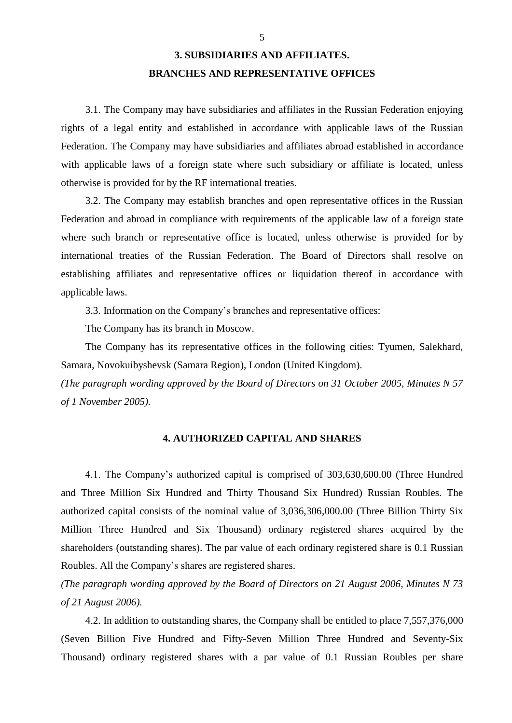# **3. SUBSIDIARIES AND AFFILIATES. BRANCHES AND REPRESENTATIVE OFFICES**

3.1. The Company may have subsidiaries and affiliates in the Russian Federation enjoying rights of a legal entity and established in accordance with applicable laws of the Russian Federation. The Company may have subsidiaries and affiliates abroad established in accordance with applicable laws of a foreign state where such subsidiary or affiliate is located, unless otherwise is provided for by the RF international treaties.

3.2. The Company may establish branches and open representative offices in the Russian Federation and abroad in compliance with requirements of the applicable law of a foreign state where such branch or representative office is located, unless otherwise is provided for by international treaties of the Russian Federation. The Board of Directors shall resolve on establishing affiliates and representative offices or liquidation thereof in accordance with applicable laws.

3.3. Information on the Company"s branches and representative offices:

The Company has its branch in Moscow.

The Company has its representative offices in the following cities: Tyumen, Salekhard, Samara, Novokuibyshevsk (Samara Region), London (United Kingdom).

*(The paragraph wording approved by the Board of Directors on 31 October 2005, Minutes N 57 of 1 November 2005).* 

## **4. AUTHORIZED CAPITAL AND SHARES**

4.1. The Company"s authorized capital is comprised of 303,630,600.00 (Three Hundred and Three Million Six Hundred and Thirty Thousand Six Hundred) Russian Roubles. The authorized capital consists of the nominal value of 3,036,306,000.00 (Three Billion Thirty Six Million Three Hundred and Six Thousand) ordinary registered shares acquired by the shareholders (outstanding shares). The par value of each ordinary registered share is 0.1 Russian Roubles. All the Company"s shares are registered shares.

*(The paragraph wording approved by the Board of Directors on 21 August 2006, Minutes N 73 of 21 August 2006).*

4.2. In addition to outstanding shares, the Company shall be entitled to place 7,557,376,000 (Seven Billion Five Hundred and Fifty-Seven Million Three Hundred and Seventy-Six Thousand) ordinary registered shares with a par value of 0.1 Russian Roubles per share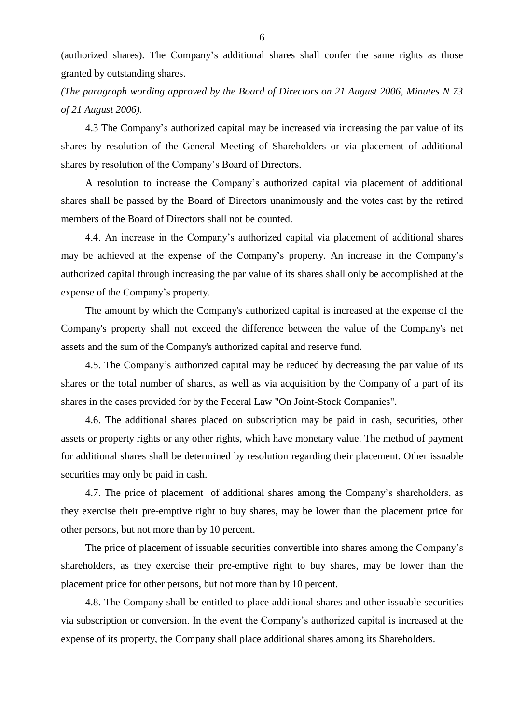(authorized shares). The Company"s additional shares shall confer the same rights as those granted by outstanding shares.

*(The paragraph wording approved by the Board of Directors on 21 August 2006, Minutes N 73 of 21 August 2006).*

4.3 The Company"s authorized capital may be increased via increasing the par value of its shares by resolution of the General Meeting of Shareholders or via placement of additional shares by resolution of the Company"s Board of Directors.

A resolution to increase the Company"s authorized capital via placement of additional shares shall be passed by the Board of Directors unanimously and the votes cast by the retired members of the Board of Directors shall not be counted.

4.4. An increase in the Company"s authorized capital via placement of additional shares may be achieved at the expense of the Company"s property. An increase in the Company"s authorized capital through increasing the par value of its shares shall only be accomplished at the expense of the Company"s property.

The amount by which the Company's authorized capital is increased at the expense of the Company's property shall not exceed the difference between the value of the Company's net assets and the sum of the Company's authorized capital and reserve fund.

4.5. The Company"s authorized capital may be reduced by decreasing the par value of its shares or the total number of shares, as well as via acquisition by the Company of a part of its shares in the cases provided for by the Federal Law "On Joint-Stock Companies".

4.6. The additional shares placed on subscription may be paid in cash, securities, other assets or property rights or any other rights, which have monetary value. The method of payment for additional shares shall be determined by resolution regarding their placement. Other issuable securities may only be paid in cash.

4.7. The price of placement of additional shares among the Company"s shareholders, as they exercise their pre-emptive right to buy shares, may be lower than the placement price for other persons, but not more than by 10 percent.

The price of placement of issuable securities convertible into shares among the Company"s shareholders, as they exercise their pre-emptive right to buy shares, may be lower than the placement price for other persons, but not more than by 10 percent.

4.8. The Company shall be entitled to place additional shares and other issuable securities via subscription or conversion. In the event the Company"s authorized capital is increased at the expense of its property, the Company shall place additional shares among its Shareholders.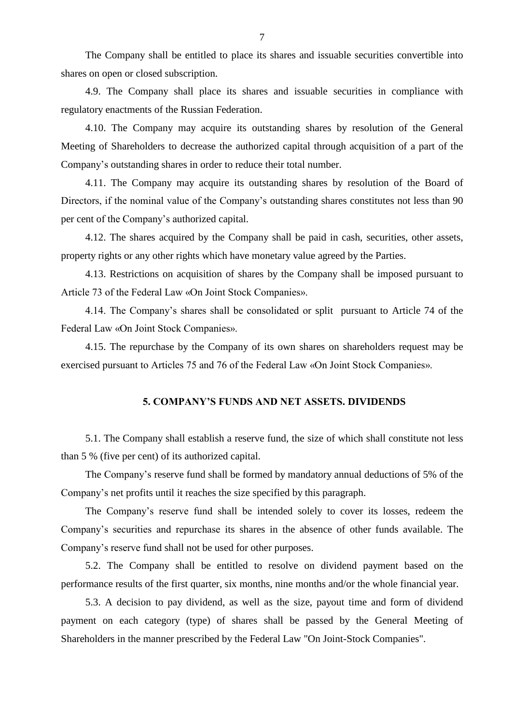The Company shall be entitled to place its shares and issuable securities convertible into shares on open or closed subscription.

4.9. The Company shall place its shares and issuable securities in compliance with regulatory enactments of the Russian Federation.

4.10. The Company may acquire its outstanding shares by resolution of the General Meeting of Shareholders to decrease the authorized capital through acquisition of a part of the Company"s outstanding shares in order to reduce their total number.

4.11. The Company may acquire its outstanding shares by resolution of the Board of Directors, if the nominal value of the Company's outstanding shares constitutes not less than 90 per cent of the Company"s authorized capital.

4.12. The shares acquired by the Company shall be paid in cash, securities, other assets, property rights or any other rights which have monetary value agreed by the Parties.

4.13. Restrictions on acquisition of shares by the Company shall be imposed pursuant to Article 73 of the Federal Law «On Joint Stock Companies».

4.14. The Company"s shares shall be consolidated or split pursuant to Article 74 of the Federal Law «On Joint Stock Companies».

4.15. The repurchase by the Company of its own shares on shareholders request may be exercised pursuant to Articles 75 and 76 of the Federal Law «On Joint Stock Companies».

### **5. COMPANY'S FUNDS AND NET ASSETS. DIVIDENDS**

5.1. The Company shall establish a reserve fund, the size of which shall constitute not less than 5 % (five per cent) of its authorized capital.

The Company"s reserve fund shall be formed by mandatory annual deductions of 5% of the Company"s net profits until it reaches the size specified by this paragraph.

The Company"s reserve fund shall be intended solely to cover its losses, redeem the Company"s securities and repurchase its shares in the absence of other funds available. The Company"s reserve fund shall not be used for other purposes.

5.2. The Company shall be entitled to resolve on dividend payment based on the performance results of the first quarter, six months, nine months and/or the whole financial year.

5.3. A decision to pay dividend, as well as the size, payout time and form of dividend payment on each category (type) of shares shall be passed by the General Meeting of Shareholders in the manner prescribed by the Federal Law "On Joint-Stock Companies".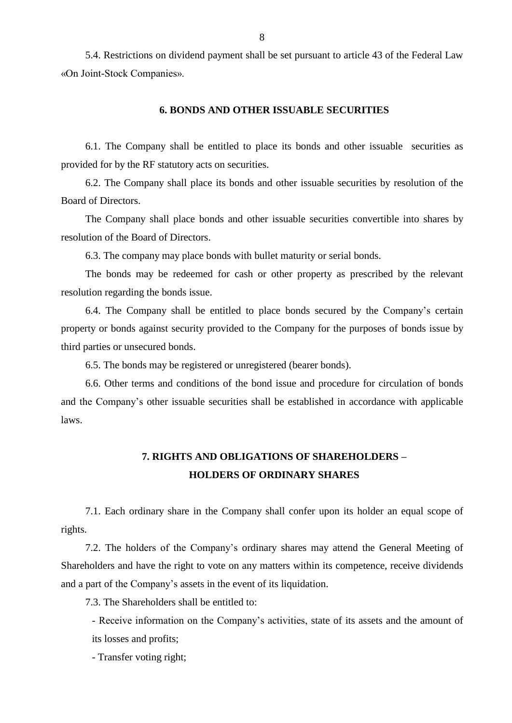5.4. Restrictions on dividend payment shall be set pursuant to article 43 of the Federal Law «On Joint-Stock Companies».

### **6. BONDS AND OTHER ISSUABLE SECURITIES**

6.1. The Company shall be entitled to place its bonds and other issuable securities as provided for by the RF statutory acts on securities.

6.2. The Company shall place its bonds and other issuable securities by resolution of the Board of Directors.

The Company shall place bonds and other issuable securities convertible into shares by resolution of the Board of Directors.

6.3. The company may place bonds with bullet maturity or serial bonds.

The bonds may be redeemed for cash or other property as prescribed by the relevant resolution regarding the bonds issue.

6.4. The Company shall be entitled to place bonds secured by the Company"s certain property or bonds against security provided to the Company for the purposes of bonds issue by third parties or unsecured bonds.

6.5. The bonds may be registered or unregistered (bearer bonds).

6.6. Other terms and conditions of the bond issue and procedure for circulation of bonds and the Company"s other issuable securities shall be established in accordance with applicable laws.

# **7. RIGHTS AND OBLIGATIONS OF SHAREHOLDERS – HOLDERS OF ORDINARY SHARES**

7.1. Each ordinary share in the Company shall confer upon its holder an equal scope of rights.

7.2. The holders of the Company"s ordinary shares may attend the General Meeting of Shareholders and have the right to vote on any matters within its competence, receive dividends and a part of the Company"s assets in the event of its liquidation.

7.3. The Shareholders shall be entitled to:

- Receive information on the Company"s activities, state of its assets and the amount of its losses and profits;

- Transfer voting right;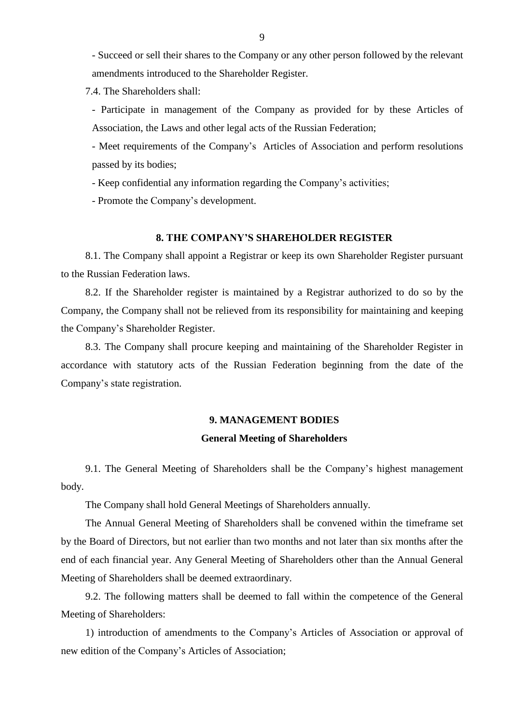- Succeed or sell their shares to the Company or any other person followed by the relevant amendments introduced to the Shareholder Register.

7.4. The Shareholders shall:

- Participate in management of the Company as provided for by these Articles of Association, the Laws and other legal acts of the Russian Federation;

- Meet requirements of the Company"s Articles of Association and perform resolutions passed by its bodies;

- Keep confidential any information regarding the Company"s activities;

- Promote the Company"s development.

#### **8. THE COMPANY'S SHAREHOLDER REGISTER**

8.1. The Company shall appoint a Registrar or keep its own Shareholder Register pursuant to the Russian Federation laws.

8.2. If the Shareholder register is maintained by a Registrar authorized to do so by the Company, the Company shall not be relieved from its responsibility for maintaining and keeping the Company"s Shareholder Register.

8.3. The Company shall procure keeping and maintaining of the Shareholder Register in accordance with statutory acts of the Russian Federation beginning from the date of the Company"s state registration.

## **9. MANAGEMENT BODIES**

#### **General Meeting of Shareholders**

9.1. The General Meeting of Shareholders shall be the Company"s highest management body.

The Company shall hold General Meetings of Shareholders annually.

The Annual General Meeting of Shareholders shall be convened within the timeframe set by the Board of Directors, but not earlier than two months and not later than six months after the end of each financial year. Any General Meeting of Shareholders other than the Annual General Meeting of Shareholders shall be deemed extraordinary.

9.2. The following matters shall be deemed to fall within the competence of the General Meeting of Shareholders:

1) introduction of amendments to the Company"s Articles of Association or approval of new edition of the Company"s Articles of Association;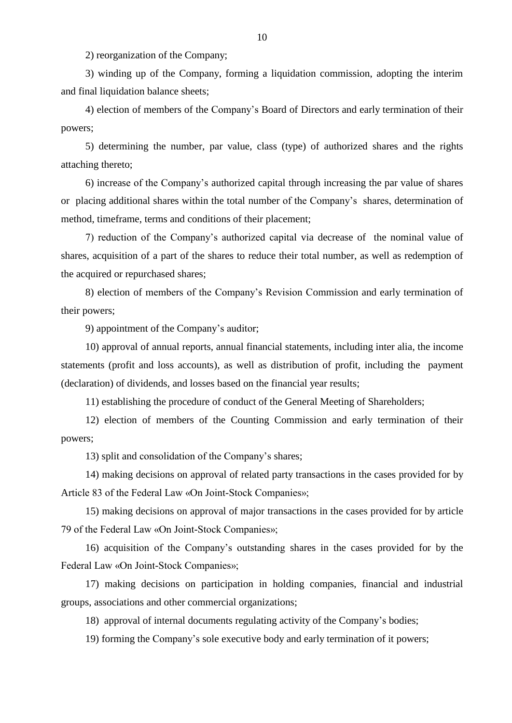2) reorganization of the Company;

3) winding up of the Company, forming a liquidation commission, adopting the interim and final liquidation balance sheets;

4) election of members of the Company"s Board of Directors and early termination of their powers;

5) determining the number, par value, class (type) of authorized shares and the rights attaching thereto;

6) increase of the Company"s authorized capital through increasing the par value of shares or placing additional shares within the total number of the Company"s shares, determination of method, timeframe, terms and conditions of their placement;

7) reduction of the Company"s authorized capital via decrease of the nominal value of shares, acquisition of a part of the shares to reduce their total number, as well as redemption of the acquired or repurchased shares;

8) election of members of the Company"s Revision Commission and early termination of their powers;

9) appointment of the Company"s auditor;

10) approval of annual reports, annual financial statements, including inter alia, the income statements (profit and loss accounts), as well as distribution of profit, including the payment (declaration) of dividends, and losses based on the financial year results;

11) establishing the procedure of conduct of the General Meeting of Shareholders;

12) election of members of the Counting Commission and early termination of their powers;

13) split and consolidation of the Company"s shares;

14) making decisions on approval of related party transactions in the cases provided for by Article 83 of the Federal Law «On Joint-Stock Companies»;

15) making decisions on approval of major transactions in the cases provided for by article 79 of the Federal Law «On Joint-Stock Companies»;

16) acquisition of the Company"s outstanding shares in the cases provided for by the Federal Law «On Joint-Stock Companies»;

17) making decisions on participation in holding companies, financial and industrial groups, associations and other commercial organizations;

18) approval of internal documents regulating activity of the Company"s bodies;

19) forming the Company"s sole executive body and early termination of it powers;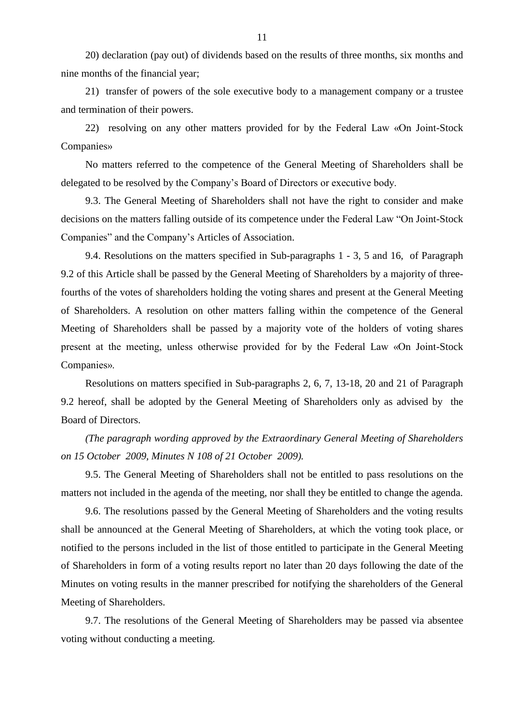20) declaration (pay out) of dividends based on the results of three months, six months and nine months of the financial year;

21) transfer of powers of the sole executive body to a management company or a trustee and termination of their powers.

22) resolving on any other matters provided for by the Federal Law «On Joint-Stock Companies»

No matters referred to the competence of the General Meeting of Shareholders shall be delegated to be resolved by the Company"s Board of Directors or executive body.

9.3. The General Meeting of Shareholders shall not have the right to consider and make decisions on the matters falling outside of its competence under the Federal Law "On Joint-Stock Companies" and the Company"s Articles of Association.

9.4. Resolutions on the matters specified in Sub-paragraphs 1 - 3, 5 and 16, of Paragraph 9.2 of this Article shall be passed by the General Meeting of Shareholders by a majority of threefourths of the votes of shareholders holding the voting shares and present at the General Meeting of Shareholders. A resolution on other matters falling within the competence of the General Meeting of Shareholders shall be passed by a majority vote of the holders of voting shares present at the meeting, unless otherwise provided for by the Federal Law «On Joint-Stock Companies».

Resolutions on matters specified in Sub-paragraphs 2, 6, 7, 13-18, 20 and 21 of Paragraph 9.2 hereof, shall be adopted by the General Meeting of Shareholders only as advised by the Board of Directors.

*(The paragraph wording approved by the Extraordinary General Meeting of Shareholders on 15 October 2009, Minutes N 108 of 21 October 2009).*

9.5. The General Meeting of Shareholders shall not be entitled to pass resolutions on the matters not included in the agenda of the meeting, nor shall they be entitled to change the agenda.

9.6. The resolutions passed by the General Meeting of Shareholders and the voting results shall be announced at the General Meeting of Shareholders, at which the voting took place, or notified to the persons included in the list of those entitled to participate in the General Meeting of Shareholders in form of a voting results report no later than 20 days following the date of the Minutes on voting results in the manner prescribed for notifying the shareholders of the General Meeting of Shareholders.

9.7. The resolutions of the General Meeting of Shareholders may be passed via absentee voting without conducting a meeting.

11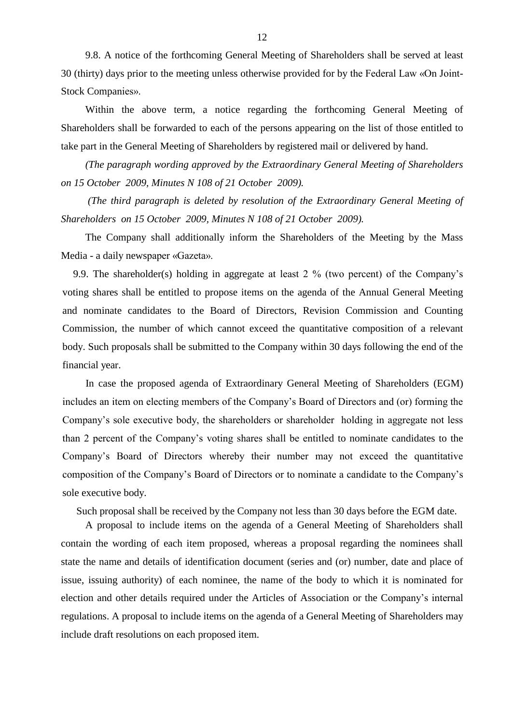9.8. A notice of the forthcoming General Meeting of Shareholders shall be served at least 30 (thirty) days prior to the meeting unless otherwise provided for by the Federal Law «On Joint-Stock Companies».

Within the above term, a notice regarding the forthcoming General Meeting of Shareholders shall be forwarded to each of the persons appearing on the list of those entitled to take part in the General Meeting of Shareholders by registered mail or delivered by hand.

*(The paragraph wording approved by the Extraordinary General Meeting of Shareholders on 15 October 2009, Minutes N 108 of 21 October 2009).*

*(The third paragraph is deleted by resolution of the Extraordinary General Meeting of Shareholders on 15 October 2009, Minutes N 108 of 21 October 2009).*

The Company shall additionally inform the Shareholders of the Meeting by the Mass Media - a daily newspaper «Gazeta».

9.9. The shareholder(s) holding in aggregate at least 2 % (two percent) of the Company"s voting shares shall be entitled to propose items on the agenda of the Annual General Meeting and nominate candidates to the Board of Directors, Revision Commission and Counting Commission, the number of which cannot exceed the quantitative composition of a relevant body. Such proposals shall be submitted to the Company within 30 days following the end of the financial year.

 In case the proposed agenda of Extraordinary General Meeting of Shareholders (EGM) includes an item on electing members of the Company"s Board of Directors and (or) forming the Company's sole executive body, the shareholders or shareholder holding in aggregate not less than 2 percent of the Company"s voting shares shall be entitled to nominate candidates to the Company"s Board of Directors whereby their number may not exceed the quantitative composition of the Company"s Board of Directors or to nominate a candidate to the Company"s sole executive body.

Such proposal shall be received by the Company not less than 30 days before the EGM date.

A proposal to include items on the agenda of a General Meeting of Shareholders shall contain the wording of each item proposed, whereas a proposal regarding the nominees shall state the name and details of identification document (series and (or) number, date and place of issue, issuing authority) of each nominee, the name of the body to which it is nominated for election and other details required under the Articles of Association or the Company"s internal regulations. A proposal to include items on the agenda of a General Meeting of Shareholders may include draft resolutions on each proposed item.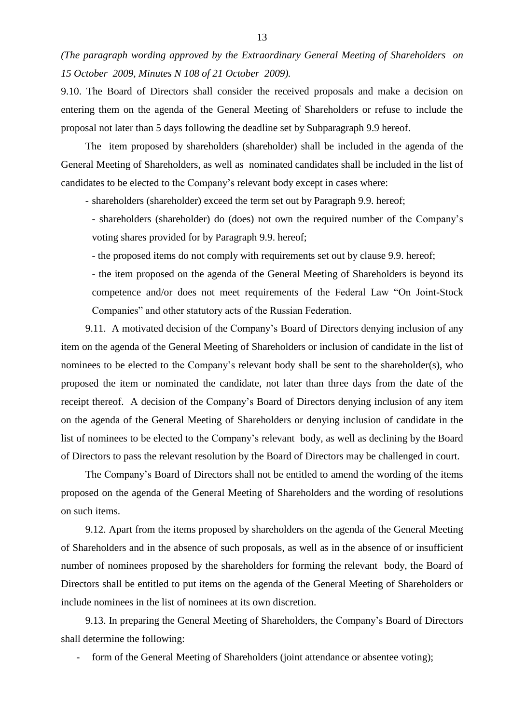*(The paragraph wording approved by the Extraordinary General Meeting of Shareholders on 15 October 2009, Minutes N 108 of 21 October 2009).*

9.10. The Board of Directors shall consider the received proposals and make a decision on entering them on the agenda of the General Meeting of Shareholders or refuse to include the proposal not later than 5 days following the deadline set by Subparagraph 9.9 hereof.

The item proposed by shareholders (shareholder) shall be included in the agenda of the General Meeting of Shareholders, as well as nominated candidates shall be included in the list of candidates to be elected to the Company"s relevant body except in cases where:

- shareholders (shareholder) exceed the term set out by Paragraph 9.9. hereof;

- shareholders (shareholder) do (does) not own the required number of the Company"s voting shares provided for by Paragraph 9.9. hereof;

- the proposed items do not comply with requirements set out by clause 9.9. hereof;

- the item proposed on the agenda of the General Meeting of Shareholders is beyond its competence and/or does not meet requirements of the Federal Law "On Joint-Stock Companies" and other statutory acts of the Russian Federation.

9.11. A motivated decision of the Company"s Board of Directors denying inclusion of any item on the agenda of the General Meeting of Shareholders or inclusion of candidate in the list of nominees to be elected to the Company's relevant body shall be sent to the shareholder(s), who proposed the item or nominated the candidate, not later than three days from the date of the receipt thereof. A decision of the Company's Board of Directors denying inclusion of any item on the agenda of the General Meeting of Shareholders or denying inclusion of candidate in the list of nominees to be elected to the Company"s relevant body, as well as declining by the Board of Directors to pass the relevant resolution by the Board of Directors may be challenged in court.

The Company"s Board of Directors shall not be entitled to amend the wording of the items proposed on the agenda of the General Meeting of Shareholders and the wording of resolutions on such items.

9.12. Apart from the items proposed by shareholders on the agenda of the General Meeting of Shareholders and in the absence of such proposals, as well as in the absence of or insufficient number of nominees proposed by the shareholders for forming the relevant body, the Board of Directors shall be entitled to put items on the agenda of the General Meeting of Shareholders or include nominees in the list of nominees at its own discretion.

9.13. In preparing the General Meeting of Shareholders, the Company"s Board of Directors shall determine the following:

form of the General Meeting of Shareholders (joint attendance or absentee voting);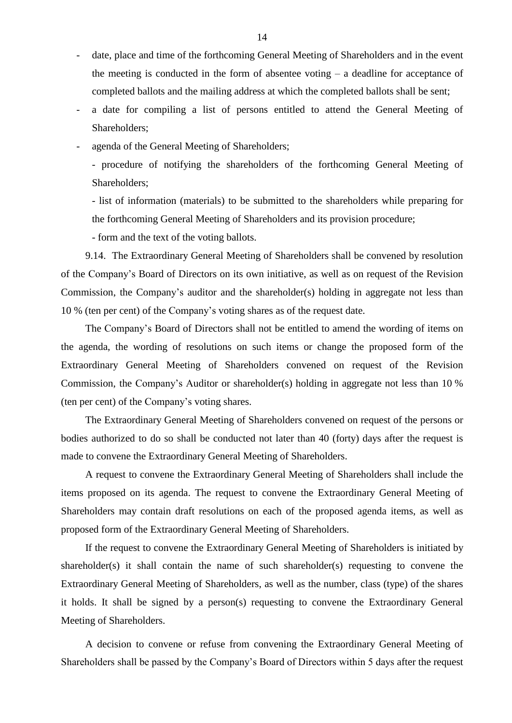- date, place and time of the forthcoming General Meeting of Shareholders and in the event the meeting is conducted in the form of absentee voting – a deadline for acceptance of completed ballots and the mailing address at which the completed ballots shall be sent;
- a date for compiling a list of persons entitled to attend the General Meeting of Shareholders;
- agenda of the General Meeting of Shareholders;

- procedure of notifying the shareholders of the forthcoming General Meeting of Shareholders;

- list of information (materials) to be submitted to the shareholders while preparing for the forthcoming General Meeting of Shareholders and its provision procedure;

- form and the text of the voting ballots.

9.14. The Extraordinary General Meeting of Shareholders shall be convened by resolution of the Company"s Board of Directors on its own initiative, as well as on request of the Revision Commission, the Company's auditor and the shareholder(s) holding in aggregate not less than 10 % (ten per cent) of the Company"s voting shares as of the request date.

The Company"s Board of Directors shall not be entitled to amend the wording of items on the agenda, the wording of resolutions on such items or change the proposed form of the Extraordinary General Meeting of Shareholders convened on request of the Revision Commission, the Company"s Auditor or shareholder(s) holding in aggregate not less than 10 % (ten per cent) of the Company"s voting shares.

The Extraordinary General Meeting of Shareholders convened on request of the persons or bodies authorized to do so shall be conducted not later than 40 (forty) days after the request is made to convene the Extraordinary General Meeting of Shareholders.

A request to convene the Extraordinary General Meeting of Shareholders shall include the items proposed on its agenda. The request to convene the Extraordinary General Meeting of Shareholders may contain draft resolutions on each of the proposed agenda items, as well as proposed form of the Extraordinary General Meeting of Shareholders.

If the request to convene the Extraordinary General Meeting of Shareholders is initiated by shareholder(s) it shall contain the name of such shareholder(s) requesting to convene the Extraordinary General Meeting of Shareholders, as well as the number, class (type) of the shares it holds. It shall be signed by a person(s) requesting to convene the Extraordinary General Meeting of Shareholders.

A decision to convene or refuse from convening the Extraordinary General Meeting of Shareholders shall be passed by the Company"s Board of Directors within 5 days after the request

14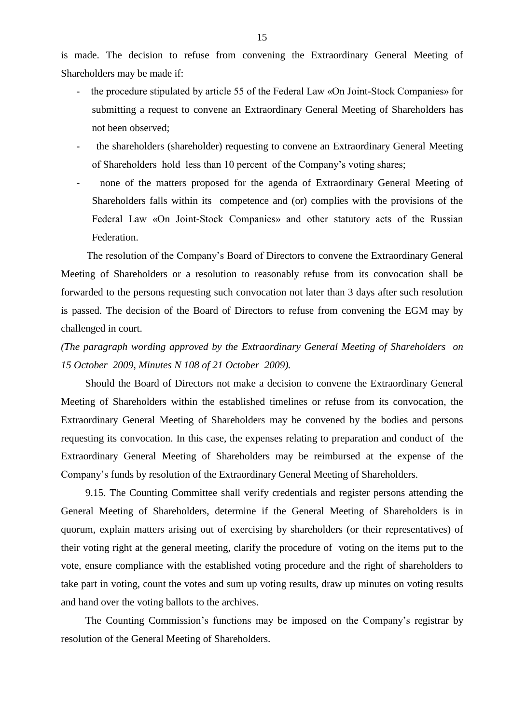is made. The decision to refuse from convening the Extraordinary General Meeting of Shareholders may be made if:

- the procedure stipulated by article 55 of the Federal Law «On Joint-Stock Companies» for submitting a request to convene an Extraordinary General Meeting of Shareholders has not been observed;
- the shareholders (shareholder) requesting to convene an Extraordinary General Meeting of Shareholders hold less than 10 percent of the Company"s voting shares;
- none of the matters proposed for the agenda of Extraordinary General Meeting of Shareholders falls within its competence and (or) complies with the provisions of the Federal Law «On Joint-Stock Companies» and other statutory acts of the Russian Federation.

 The resolution of the Company"s Board of Directors to convene the Extraordinary General Meeting of Shareholders or a resolution to reasonably refuse from its convocation shall be forwarded to the persons requesting such convocation not later than 3 days after such resolution is passed. The decision of the Board of Directors to refuse from convening the EGM may by challenged in court.

*(The paragraph wording approved by the Extraordinary General Meeting of Shareholders on 15 October 2009, Minutes N 108 of 21 October 2009).*

Should the Board of Directors not make a decision to convene the Extraordinary General Meeting of Shareholders within the established timelines or refuse from its convocation, the Extraordinary General Meeting of Shareholders may be convened by the bodies and persons requesting its convocation. In this case, the expenses relating to preparation and conduct of the Extraordinary General Meeting of Shareholders may be reimbursed at the expense of the Company"s funds by resolution of the Extraordinary General Meeting of Shareholders.

9.15. The Counting Committee shall verify credentials and register persons attending the General Meeting of Shareholders, determine if the General Meeting of Shareholders is in quorum, explain matters arising out of exercising by shareholders (or their representatives) of their voting right at the general meeting, clarify the procedure of voting on the items put to the vote, ensure compliance with the established voting procedure and the right of shareholders to take part in voting, count the votes and sum up voting results, draw up minutes on voting results and hand over the voting ballots to the archives.

The Counting Commission's functions may be imposed on the Company's registrar by resolution of the General Meeting of Shareholders.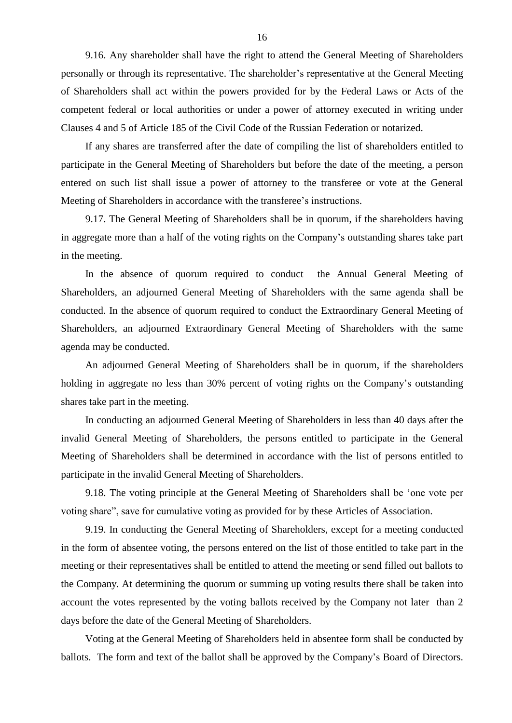9.16. Any shareholder shall have the right to attend the General Meeting of Shareholders personally or through its representative. The shareholder"s representative at the General Meeting of Shareholders shall act within the powers provided for by the Federal Laws or Acts of the competent federal or local authorities or under a power of attorney executed in writing under Clauses 4 and 5 of Article 185 of the Civil Code of the Russian Federation or notarized.

If any shares are transferred after the date of compiling the list of shareholders entitled to participate in the General Meeting of Shareholders but before the date of the meeting, a person entered on such list shall issue a power of attorney to the transferee or vote at the General Meeting of Shareholders in accordance with the transferee"s instructions.

9.17. The General Meeting of Shareholders shall be in quorum, if the shareholders having in aggregate more than a half of the voting rights on the Company"s outstanding shares take part in the meeting.

In the absence of quorum required to conduct the Annual General Meeting of Shareholders, an adjourned General Meeting of Shareholders with the same agenda shall be conducted. In the absence of quorum required to conduct the Extraordinary General Meeting of Shareholders, an adjourned Extraordinary General Meeting of Shareholders with the same agenda may be conducted.

An adjourned General Meeting of Shareholders shall be in quorum, if the shareholders holding in aggregate no less than 30% percent of voting rights on the Company's outstanding shares take part in the meeting.

In conducting an adjourned General Meeting of Shareholders in less than 40 days after the invalid General Meeting of Shareholders, the persons entitled to participate in the General Meeting of Shareholders shall be determined in accordance with the list of persons entitled to participate in the invalid General Meeting of Shareholders.

9.18. The voting principle at the General Meeting of Shareholders shall be "one vote per voting share", save for cumulative voting as provided for by these Articles of Association.

9.19. In conducting the General Meeting of Shareholders, except for a meeting conducted in the form of absentee voting, the persons entered on the list of those entitled to take part in the meeting or their representatives shall be entitled to attend the meeting or send filled out ballots to the Company. At determining the quorum or summing up voting results there shall be taken into account the votes represented by the voting ballots received by the Company not later than 2 days before the date of the General Meeting of Shareholders.

Voting at the General Meeting of Shareholders held in absentee form shall be conducted by ballots. The form and text of the ballot shall be approved by the Company's Board of Directors.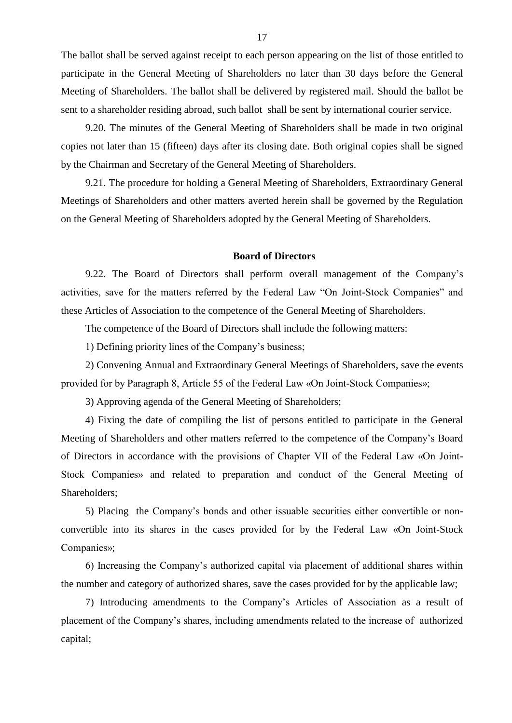The ballot shall be served against receipt to each person appearing on the list of those entitled to participate in the General Meeting of Shareholders no later than 30 days before the General Meeting of Shareholders. The ballot shall be delivered by registered mail. Should the ballot be sent to a shareholder residing abroad, such ballot shall be sent by international courier service.

9.20. The minutes of the General Meeting of Shareholders shall be made in two original copies not later than 15 (fifteen) days after its closing date. Both original copies shall be signed by the Chairman and Secretary of the General Meeting of Shareholders.

9.21. The procedure for holding a General Meeting of Shareholders, Extraordinary General Meetings of Shareholders and other matters averted herein shall be governed by the Regulation on the General Meeting of Shareholders adopted by the General Meeting of Shareholders.

#### **Board of Directors**

9.22. The Board of Directors shall perform overall management of the Company"s activities, save for the matters referred by the Federal Law "On Joint-Stock Companies" and these Articles of Association to the competence of the General Meeting of Shareholders.

The competence of the Board of Directors shall include the following matters:

1) Defining priority lines of the Company"s business;

2) Convening Annual and Extraordinary General Meetings of Shareholders, save the events provided for by Paragraph 8, Article 55 of the Federal Law «On Joint-Stock Companies»;

3) Approving agenda of the General Meeting of Shareholders;

4) Fixing the date of compiling the list of persons entitled to participate in the General Meeting of Shareholders and other matters referred to the competence of the Company"s Board of Directors in accordance with the provisions of Chapter VII of the Federal Law «On Joint-Stock Companies» and related to preparation and conduct of the General Meeting of Shareholders;

5) Placing the Company"s bonds and other issuable securities either convertible or nonconvertible into its shares in the cases provided for by the Federal Law «On Joint-Stock Companies»;

6) Increasing the Company"s authorized capital via placement of additional shares within the number and category of authorized shares, save the cases provided for by the applicable law;

7) Introducing amendments to the Company"s Articles of Association as a result of placement of the Company"s shares, including amendments related to the increase of authorized capital;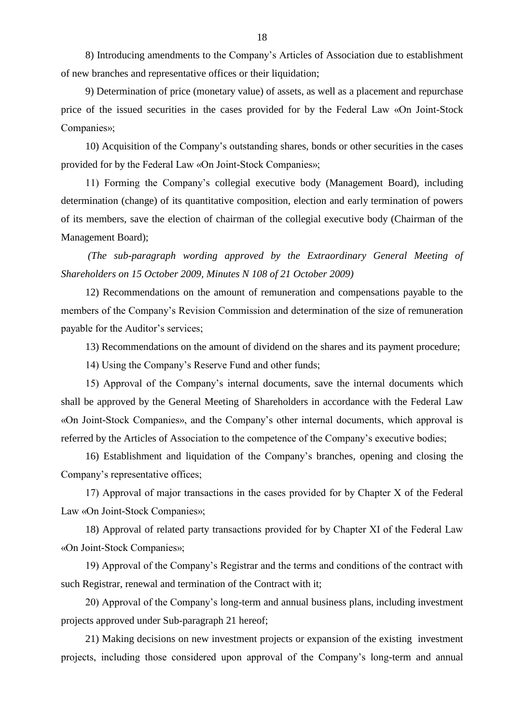8) Introducing amendments to the Company"s Articles of Association due to establishment of new branches and representative offices or their liquidation;

9) Determination of price (monetary value) of assets, as well as a placement and repurchase price of the issued securities in the cases provided for by the Federal Law «On Joint-Stock Companies»;

10) Acquisition of the Company"s outstanding shares, bonds or other securities in the cases provided for by the Federal Law «On Joint-Stock Companies»;

11) Forming the Company"s collegial executive body (Management Board), including determination (change) of its quantitative composition, election and early termination of powers of its members, save the election of chairman of the collegial executive body (Chairman of the Management Board);

*(The sub-paragraph wording approved by the Extraordinary General Meeting of Shareholders on 15 October 2009, Minutes N 108 of 21 October 2009)*

12) Recommendations on the amount of remuneration and compensations payable to the members of the Company"s Revision Commission and determination of the size of remuneration payable for the Auditor's services;

13) Recommendations on the amount of dividend on the shares and its payment procedure;

14) Using the Company"s Reserve Fund and other funds;

15) Approval of the Company"s internal documents, save the internal documents which shall be approved by the General Meeting of Shareholders in accordance with the Federal Law «On Joint-Stock Companies», and the Company"s other internal documents, which approval is referred by the Articles of Association to the competence of the Company"s executive bodies;

16) Establishment and liquidation of the Company"s branches, opening and closing the Company"s representative offices;

17) Approval of major transactions in the cases provided for by Chapter Х of the Federal Law «On Joint-Stock Companies»;

18) Approval of related party transactions provided for by Chapter ХI of the Federal Law «On Joint-Stock Companies»;

19) Approval of the Company"s Registrar and the terms and conditions of the contract with such Registrar, renewal and termination of the Contract with it;

20) Approval of the Company"s long-term and annual business plans, including investment projects approved under Sub-paragraph 21 hereof;

21) Making decisions on new investment projects or expansion of the existing investment projects, including those considered upon approval of the Company"s long-term and annual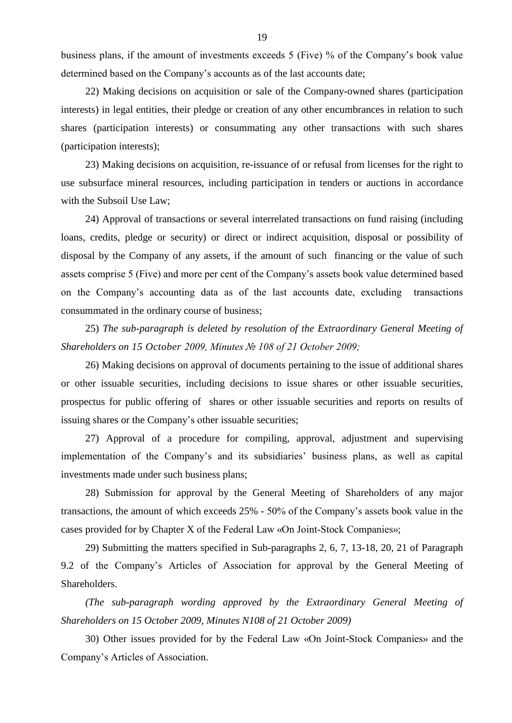business plans, if the amount of investments exceeds 5 (Five) % of the Company"s book value determined based on the Company's accounts as of the last accounts date;

22) Making decisions on acquisition or sale of the Company-owned shares (participation interests) in legal entities, their pledge or creation of any other encumbrances in relation to such shares (participation interests) or consummating any other transactions with such shares (participation interests);

23) Making decisions on acquisition, re-issuance of or refusal from licenses for the right to use subsurface mineral resources, including participation in tenders or auctions in accordance with the Subsoil Use Law;

24) Approval of transactions or several interrelated transactions on fund raising (including loans, credits, pledge or security) or direct or indirect acquisition, disposal or possibility of disposal by the Company of any assets, if the amount of such financing or the value of such assets comprise 5 (Five) and more per cent of the Company"s assets book value determined based on the Company"s accounting data as of the last accounts date, excluding transactions consummated in the ordinary course of business;

25) *The sub-paragraph is deleted by resolution of the Extraordinary General Meeting of Shareholders on 15 October 2009, Minutes № 108 of 21 October 2009;*

26) Making decisions on approval of documents pertaining to the issue of additional shares or other issuable securities, including decisions to issue shares or other issuable securities, prospectus for public offering of shares or other issuable securities and reports on results of issuing shares or the Company"s other issuable securities;

27) Approval of a procedure for compiling, approval, adjustment and supervising implementation of the Company's and its subsidiaries' business plans, as well as capital investments made under such business plans;

28) Submission for approval by the General Meeting of Shareholders of any major transactions, the amount of which exceeds 25% - 50% of the Company"s assets book value in the cases provided for by Chapter X of the Federal Law «On Joint-Stock Companies»;

29) Submitting the matters specified in Sub-paragraphs 2, 6, 7, 13-18, 20, 21 of Paragraph 9.2 of the Company"s Articles of Association for approval by the General Meeting of Shareholders.

*(The sub-paragraph wording approved by the Extraordinary General Meeting of Shareholders on 15 October 2009, Minutes N108 of 21 October 2009)*

30) Other issues provided for by the Federal Law «On Joint-Stock Companies» and the Company"s Articles of Association.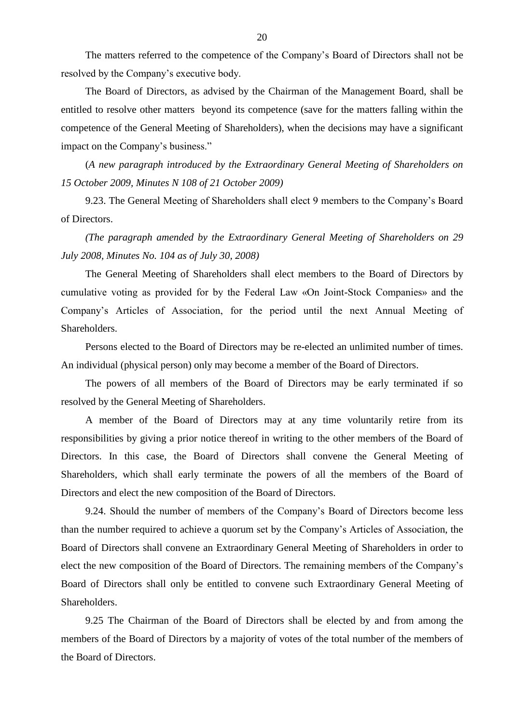The matters referred to the competence of the Company"s Board of Directors shall not be resolved by the Company"s executive body.

The Board of Directors, as advised by the Chairman of the Management Board, shall be entitled to resolve other matters beyond its competence (save for the matters falling within the competence of the General Meeting of Shareholders), when the decisions may have a significant impact on the Company's business."

(*A new paragraph introduced by the Extraordinary General Meeting of Shareholders on 15 October 2009, Minutes N 108 of 21 October 2009)*

9.23. The General Meeting of Shareholders shall elect 9 members to the Company"s Board of Directors.

*(The paragraph amended by the Extraordinary General Meeting of Shareholders on 29 July 2008, Minutes No. 104 as of July 30, 2008)*

The General Meeting of Shareholders shall elect members to the Board of Directors by cumulative voting as provided for by the Federal Law «On Joint-Stock Companies» and the Company"s Articles of Association, for the period until the next Annual Meeting of Shareholders.

Persons elected to the Board of Directors may be re-elected an unlimited number of times. An individual (physical person) only may become a member of the Board of Directors.

The powers of all members of the Board of Directors may be early terminated if so resolved by the General Meeting of Shareholders.

A member of the Board of Directors may at any time voluntarily retire from its responsibilities by giving a prior notice thereof in writing to the other members of the Board of Directors. In this case, the Board of Directors shall convene the General Meeting of Shareholders, which shall early terminate the powers of all the members of the Board of Directors and elect the new composition of the Board of Directors.

9.24. Should the number of members of the Company"s Board of Directors become less than the number required to achieve a quorum set by the Company"s Articles of Association, the Board of Directors shall convene an Extraordinary General Meeting of Shareholders in order to elect the new composition of the Board of Directors. The remaining members of the Company"s Board of Directors shall only be entitled to convene such Extraordinary General Meeting of Shareholders.

9.25 The Chairman of the Board of Directors shall be elected by and from among the members of the Board of Directors by a majority of votes of the total number of the members of the Board of Directors.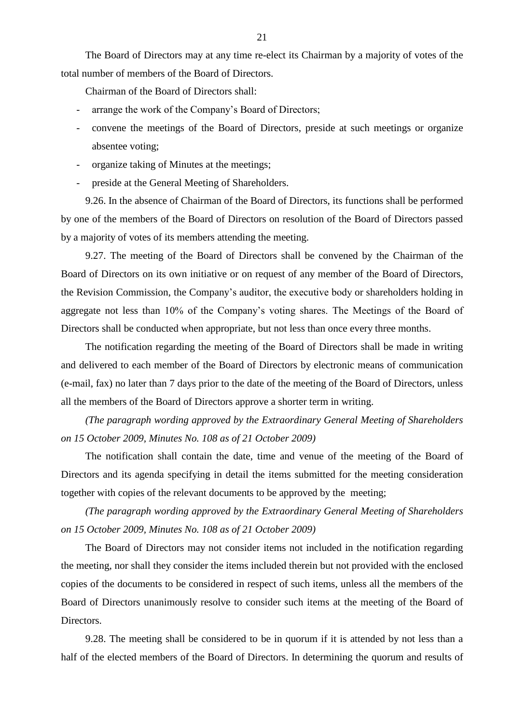The Board of Directors may at any time re-elect its Chairman by a majority of votes of the total number of members of the Board of Directors.

Chairman of the Board of Directors shall:

- arrange the work of the Company's Board of Directors;
- convene the meetings of the Board of Directors, preside at such meetings or organize absentee voting;
- organize taking of Minutes at the meetings;
- preside at the General Meeting of Shareholders.

9.26. In the absence of Chairman of the Board of Directors, its functions shall be performed by one of the members of the Board of Directors on resolution of the Board of Directors passed by a majority of votes of its members attending the meeting.

9.27. The meeting of the Board of Directors shall be convened by the Chairman of the Board of Directors on its own initiative or on request of any member of the Board of Directors, the Revision Commission, the Company"s auditor, the executive body or shareholders holding in aggregate not less than 10% of the Company"s voting shares. The Meetings of the Board of Directors shall be conducted when appropriate, but not less than once every three months.

The notification regarding the meeting of the Board of Directors shall be made in writing and delivered to each member of the Board of Directors by electronic means of communication (e-mail, fax) no later than 7 days prior to the date of the meeting of the Board of Directors, unless all the members of the Board of Directors approve a shorter term in writing.

*(The paragraph wording approved by the Extraordinary General Meeting of Shareholders on 15 October 2009, Minutes No. 108 as of 21 October 2009)*

The notification shall contain the date, time and venue of the meeting of the Board of Directors and its agenda specifying in detail the items submitted for the meeting consideration together with copies of the relevant documents to be approved by the meeting;

*(The paragraph wording approved by the Extraordinary General Meeting of Shareholders on 15 October 2009, Minutes No. 108 as of 21 October 2009)*

The Board of Directors may not consider items not included in the notification regarding the meeting, nor shall they consider the items included therein but not provided with the enclosed copies of the documents to be considered in respect of such items, unless all the members of the Board of Directors unanimously resolve to consider such items at the meeting of the Board of Directors.

9.28. The meeting shall be considered to be in quorum if it is attended by not less than a half of the elected members of the Board of Directors. In determining the quorum and results of

21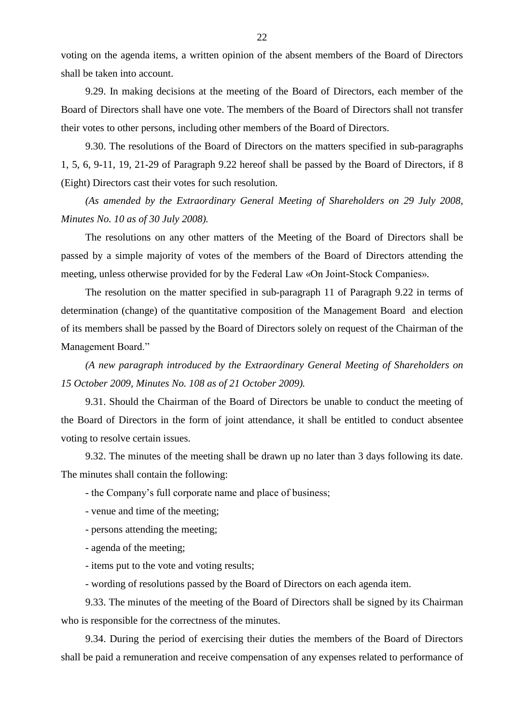voting on the agenda items, a written opinion of the absent members of the Board of Directors shall be taken into account.

9.29. In making decisions at the meeting of the Board of Directors, each member of the Board of Directors shall have one vote. The members of the Board of Directors shall not transfer their votes to other persons, including other members of the Board of Directors.

9.30. The resolutions of the Board of Directors on the matters specified in sub-paragraphs 1, 5, 6, 9-11, 19, 21-29 of Paragraph 9.22 hereof shall be passed by the Board of Directors, if 8 (Eight) Directors cast their votes for such resolution.

*(As amended by the Extraordinary General Meeting of Shareholders on 29 July 2008, Minutes No. 10 as of 30 July 2008).*

The resolutions on any other matters of the Meeting of the Board of Directors shall be passed by a simple majority of votes of the members of the Board of Directors attending the meeting, unless otherwise provided for by the Federal Law «On Joint-Stock Companies».

The resolution on the matter specified in sub-paragraph 11 of Paragraph 9.22 in terms of determination (change) of the quantitative composition of the Management Board and election of its members shall be passed by the Board of Directors solely on request of the Chairman of the Management Board."

*(A new paragraph introduced by the Extraordinary General Meeting of Shareholders on 15 October 2009, Minutes No. 108 as of 21 October 2009).*

9.31. Should the Chairman of the Board of Directors be unable to conduct the meeting of the Board of Directors in the form of joint attendance, it shall be entitled to conduct absentee voting to resolve certain issues.

9.32. The minutes of the meeting shall be drawn up no later than 3 days following its date. The minutes shall contain the following:

- the Company"s full corporate name and place of business;
- venue and time of the meeting;
- persons attending the meeting;
- agenda of the meeting;
- items put to the vote and voting results;
- wording of resolutions passed by the Board of Directors on each agenda item.

9.33. The minutes of the meeting of the Board of Directors shall be signed by its Chairman who is responsible for the correctness of the minutes.

9.34. During the period of exercising their duties the members of the Board of Directors shall be paid a remuneration and receive compensation of any expenses related to performance of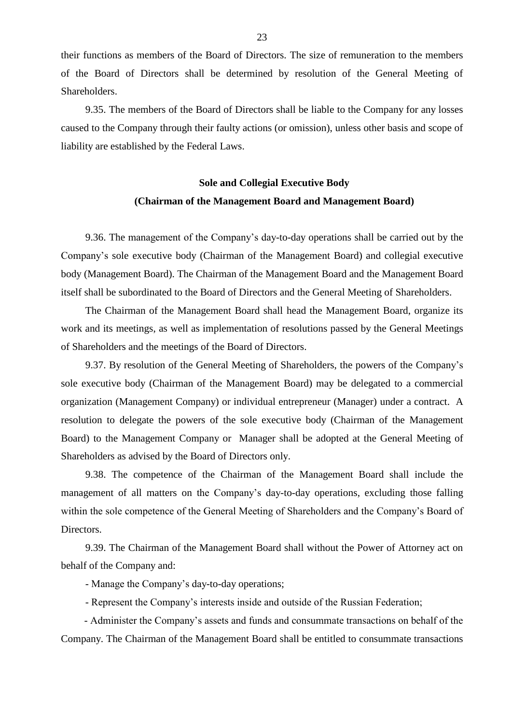their functions as members of the Board of Directors. The size of remuneration to the members of the Board of Directors shall be determined by resolution of the General Meeting of Shareholders.

9.35. The members of the Board of Directors shall be liable to the Company for any losses caused to the Company through their faulty actions (or omission), unless other basis and scope of liability are established by the Federal Laws.

## **Sole and Collegial Executive Body (Chairman of the Management Board and Management Board)**

9.36. The management of the Company"s day-to-day operations shall be carried out by the Company"s sole executive body (Chairman of the Management Board) and collegial executive body (Management Board). The Chairman of the Management Board and the Management Board itself shall be subordinated to the Board of Directors and the General Meeting of Shareholders.

The Chairman of the Management Board shall head the Management Board, organize its work and its meetings, as well as implementation of resolutions passed by the General Meetings of Shareholders and the meetings of the Board of Directors.

9.37. By resolution of the General Meeting of Shareholders, the powers of the Company"s sole executive body (Chairman of the Management Board) may be delegated to a commercial organization (Management Company) or individual entrepreneur (Manager) under a contract. A resolution to delegate the powers of the sole executive body (Chairman of the Management Board) to the Management Company or Manager shall be adopted at the General Meeting of Shareholders as advised by the Board of Directors only.

9.38. The competence of the Chairman of the Management Board shall include the management of all matters on the Company's day-to-day operations, excluding those falling within the sole competence of the General Meeting of Shareholders and the Company"s Board of Directors.

9.39. The Chairman of the Management Board shall without the Power of Attorney act on behalf of the Company and:

- Manage the Company"s day-to-day operations;

- Represent the Company"s interests inside and outside of the Russian Federation;

 - Administer the Company"s assets and funds and consummate transactions on behalf of the Company. The Chairman of the Management Board shall be entitled to consummate transactions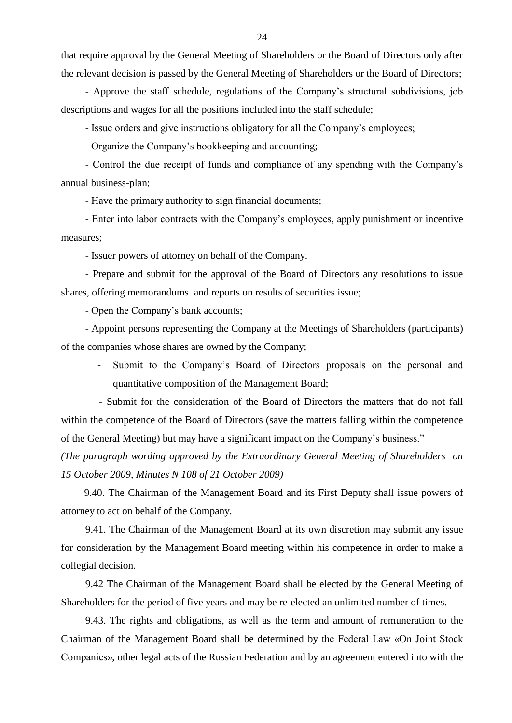that require approval by the General Meeting of Shareholders or the Board of Directors only after the relevant decision is passed by the General Meeting of Shareholders or the Board of Directors;

- Approve the staff schedule, regulations of the Company"s structural subdivisions, job descriptions and wages for all the positions included into the staff schedule;

- Issue orders and give instructions obligatory for all the Company"s employees;

- Organize the Company"s bookkeeping and accounting;

- Control the due receipt of funds and compliance of any spending with the Company"s annual business-plan;

- Have the primary authority to sign financial documents;

- Enter into labor contracts with the Company"s employees, apply punishment or incentive measures;

- Issuer powers of attorney on behalf of the Company.

- Prepare and submit for the approval of the Board of Directors any resolutions to issue shares, offering memorandums and reports on results of securities issue;

- Open the Company"s bank accounts;

- Appoint persons representing the Company at the Meetings of Shareholders (participants) of the companies whose shares are owned by the Company;

- Submit to the Company"s Board of Directors proposals on the personal and quantitative composition of the Management Board;

 - Submit for the consideration of the Board of Directors the matters that do not fall within the competence of the Board of Directors (save the matters falling within the competence of the General Meeting) but may have a significant impact on the Company"s business."

*(The paragraph wording approved by the Extraordinary General Meeting of Shareholders on 15 October 2009, Minutes N 108 of 21 October 2009)*

 9.40. The Chairman of the Management Board and its First Deputy shall issue powers of attorney to act on behalf of the Company.

9.41. The Chairman of the Management Board at its own discretion may submit any issue for consideration by the Management Board meeting within his competence in order to make a collegial decision.

9.42 The Chairman of the Management Board shall be elected by the General Meeting of Shareholders for the period of five years and may be re-elected an unlimited number of times.

9.43. The rights and obligations, as well as the term and amount of remuneration to the Chairman of the Management Board shall be determined by the Federal Law «On Joint Stock Companies», other legal acts of the Russian Federation and by an agreement entered into with the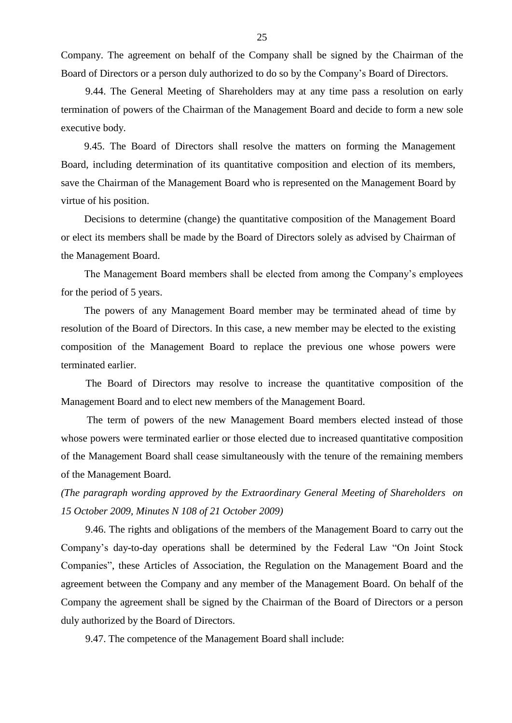Company. The agreement on behalf of the Company shall be signed by the Chairman of the Board of Directors or a person duly authorized to do so by the Company"s Board of Directors.

9.44. The General Meeting of Shareholders may at any time pass a resolution on early termination of powers of the Chairman of the Management Board and decide to form a new sole executive body.

 9.45. The Board of Directors shall resolve the matters on forming the Management Board, including determination of its quantitative composition and election of its members, save the Chairman of the Management Board who is represented on the Management Board by virtue of his position.

 Decisions to determine (change) the quantitative composition of the Management Board or elect its members shall be made by the Board of Directors solely as advised by Chairman of the Management Board.

 The Management Board members shall be elected from among the Company"s employees for the period of 5 years.

 The powers of any Management Board member may be terminated ahead of time by resolution of the Board of Directors. In this case, a new member may be elected to the existing composition of the Management Board to replace the previous one whose powers were terminated earlier.

 The Board of Directors may resolve to increase the quantitative composition of the Management Board and to elect new members of the Management Board.

 The term of powers of the new Management Board members elected instead of those whose powers were terminated earlier or those elected due to increased quantitative composition of the Management Board shall cease simultaneously with the tenure of the remaining members of the Management Board.

*(The paragraph wording approved by the Extraordinary General Meeting of Shareholders on 15 October 2009, Minutes N 108 of 21 October 2009)*

9.46. The rights and obligations of the members of the Management Board to carry out the Company"s day-to-day operations shall be determined by the Federal Law "On Joint Stock Companies", these Articles of Association, the Regulation on the Management Board and the agreement between the Company and any member of the Management Board. On behalf of the Company the agreement shall be signed by the Chairman of the Board of Directors or a person duly authorized by the Board of Directors.

9.47. The competence of the Management Board shall include: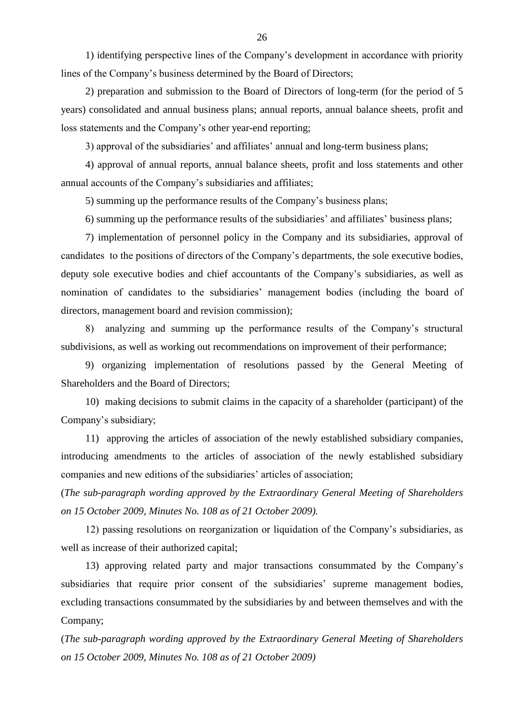1) identifying perspective lines of the Company"s development in accordance with priority lines of the Company"s business determined by the Board of Directors;

2) preparation and submission to the Board of Directors of long-term (for the period of 5 years) consolidated and annual business plans; annual reports, annual balance sheets, profit and loss statements and the Company's other year-end reporting;

3) approval of the subsidiaries' and affiliates' annual and long-term business plans;

4) approval of annual reports, annual balance sheets, profit and loss statements and other annual accounts of the Company"s subsidiaries and affiliates;

5) summing up the performance results of the Company"s business plans;

6) summing up the performance results of the subsidiaries" and affiliates" business plans;

7) implementation of personnel policy in the Company and its subsidiaries, approval of candidates to the positions of directors of the Company"s departments, the sole executive bodies, deputy sole executive bodies and chief accountants of the Company"s subsidiaries, as well as nomination of candidates to the subsidiaries' management bodies (including the board of directors, management board and revision commission);

8) analyzing and summing up the performance results of the Company"s structural subdivisions, as well as working out recommendations on improvement of their performance;

9) organizing implementation of resolutions passed by the General Meeting of Shareholders and the Board of Directors;

10) making decisions to submit claims in the capacity of a shareholder (participant) of the Company"s subsidiary;

11) approving the articles of association of the newly established subsidiary companies, introducing amendments to the articles of association of the newly established subsidiary companies and new editions of the subsidiaries' articles of association;

(*The sub-paragraph wording approved by the Extraordinary General Meeting of Shareholders on 15 October 2009, Minutes No. 108 as of 21 October 2009).*

12) passing resolutions on reorganization or liquidation of the Company"s subsidiaries, as well as increase of their authorized capital;

13) approving related party and major transactions consummated by the Company"s subsidiaries that require prior consent of the subsidiaries' supreme management bodies, excluding transactions consummated by the subsidiaries by and between themselves and with the Company;

(*The sub-paragraph wording approved by the Extraordinary General Meeting of Shareholders on 15 October 2009, Minutes No. 108 as of 21 October 2009)*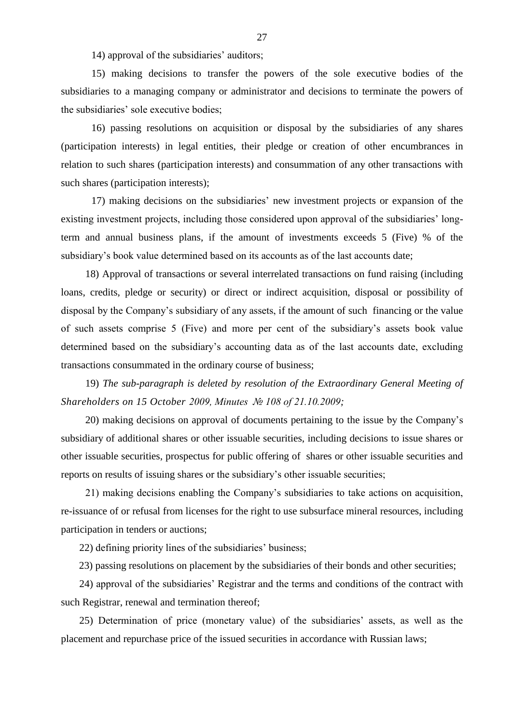14) approval of the subsidiaries' auditors;

15) making decisions to transfer the powers of the sole executive bodies of the subsidiaries to a managing company or administrator and decisions to terminate the powers of the subsidiaries' sole executive bodies:

16) passing resolutions on acquisition or disposal by the subsidiaries of any shares (participation interests) in legal entities, their pledge or creation of other encumbrances in relation to such shares (participation interests) and consummation of any other transactions with such shares (participation interests);

17) making decisions on the subsidiaries" new investment projects or expansion of the existing investment projects, including those considered upon approval of the subsidiaries" longterm and annual business plans, if the amount of investments exceeds 5 (Five) % of the subsidiary"s book value determined based on its accounts as of the last accounts date;

18) Approval of transactions or several interrelated transactions on fund raising (including loans, credits, pledge or security) or direct or indirect acquisition, disposal or possibility of disposal by the Company"s subsidiary of any assets, if the amount of such financing or the value of such assets comprise 5 (Five) and more per cent of the subsidiary"s assets book value determined based on the subsidiary"s accounting data as of the last accounts date, excluding transactions consummated in the ordinary course of business;

19) *The sub-paragraph is deleted by resolution of the Extraordinary General Meeting of Shareholders on 15 October 2009, Minutes № 108 of 21.10.2009;*

20) making decisions on approval of documents pertaining to the issue by the Company"s subsidiary of additional shares or other issuable securities, including decisions to issue shares or other issuable securities, prospectus for public offering of shares or other issuable securities and reports on results of issuing shares or the subsidiary"s other issuable securities;

21) making decisions enabling the Company"s subsidiaries to take actions on acquisition, re-issuance of or refusal from licenses for the right to use subsurface mineral resources, including participation in tenders or auctions;

22) defining priority lines of the subsidiaries' business;

23) passing resolutions on placement by the subsidiaries of their bonds and other securities;

24) approval of the subsidiaries" Registrar and the terms and conditions of the contract with such Registrar, renewal and termination thereof;

25) Determination of price (monetary value) of the subsidiaries" assets, as well as the placement and repurchase price of the issued securities in accordance with Russian laws;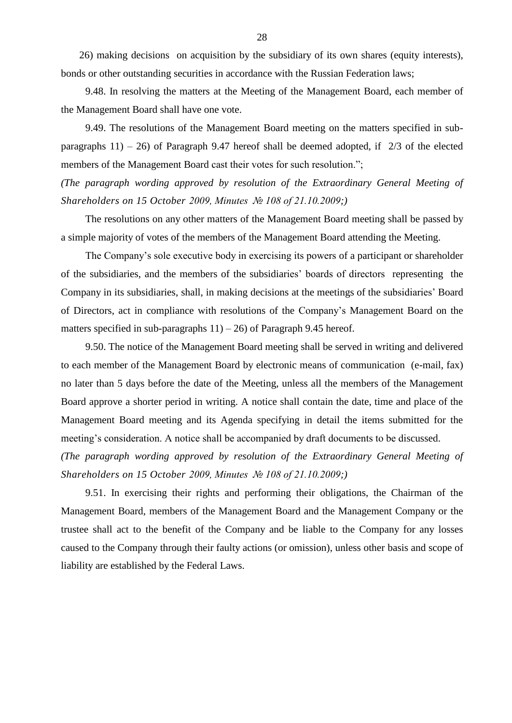26) making decisions on acquisition by the subsidiary of its own shares (equity interests), bonds or other outstanding securities in accordance with the Russian Federation laws;

9.48. In resolving the matters at the Meeting of the Management Board, each member of the Management Board shall have one vote.

9.49. The resolutions of the Management Board meeting on the matters specified in subparagraphs  $11$ ) – 26) of Paragraph 9.47 hereof shall be deemed adopted, if  $2/3$  of the elected members of the Management Board cast their votes for such resolution.";

*(The paragraph wording approved by resolution of the Extraordinary General Meeting of Shareholders on 15 October 2009, Minutes № 108 of 21.10.2009;)*

The resolutions on any other matters of the Management Board meeting shall be passed by a simple majority of votes of the members of the Management Board attending the Meeting.

The Company's sole executive body in exercising its powers of a participant or shareholder of the subsidiaries, and the members of the subsidiaries" boards of directors representing the Company in its subsidiaries, shall, in making decisions at the meetings of the subsidiaries" Board of Directors, act in compliance with resolutions of the Company"s Management Board on the matters specified in sub-paragraphs  $11$ ) – 26) of Paragraph 9.45 hereof.

9.50. The notice of the Management Board meeting shall be served in writing and delivered to each member of the Management Board by electronic means of communication (e-mail, fax) no later than 5 days before the date of the Meeting, unless all the members of the Management Board approve a shorter period in writing. A notice shall contain the date, time and place of the Management Board meeting and its Agenda specifying in detail the items submitted for the meeting"s consideration. A notice shall be accompanied by draft documents to be discussed.

*(The paragraph wording approved by resolution of the Extraordinary General Meeting of Shareholders on 15 October 2009, Minutes № 108 of 21.10.2009;)*

9.51. In exercising their rights and performing their obligations, the Chairman of the Management Board, members of the Management Board and the Management Company or the trustee shall act to the benefit of the Company and be liable to the Company for any losses caused to the Company through their faulty actions (or omission), unless other basis and scope of liability are established by the Federal Laws.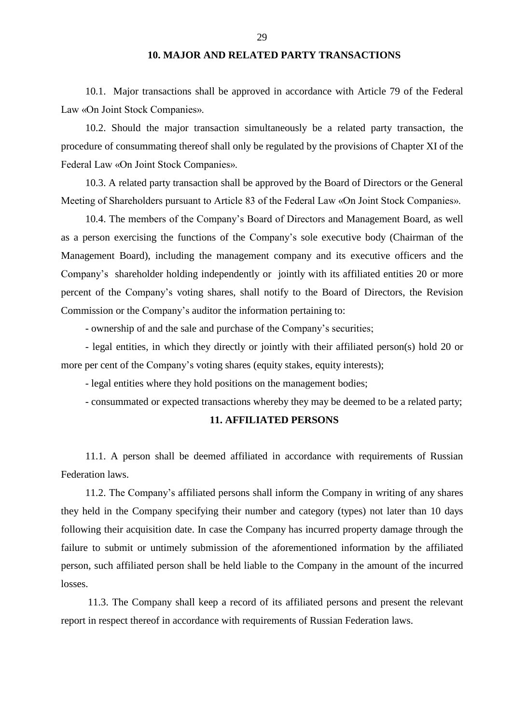## **10. MAJOR AND RELATED PARTY TRANSACTIONS**

10.1. Major transactions shall be approved in accordance with Article 79 of the Federal Law «On Joint Stock Companies».

10.2. Should the major transaction simultaneously be a related party transaction, the procedure of consummating thereof shall only be regulated by the provisions of Chapter XI of the Federal Law «On Joint Stock Companies».

10.3. A related party transaction shall be approved by the Board of Directors or the General Meeting of Shareholders pursuant to Article 83 of the Federal Law «On Joint Stock Companies».

10.4. The members of the Company"s Board of Directors and Management Board, as well as a person exercising the functions of the Company"s sole executive body (Chairman of the Management Board), including the management company and its executive officers and the Company"s shareholder holding independently or jointly with its affiliated entities 20 or more percent of the Company"s voting shares, shall notify to the Board of Directors, the Revision Commission or the Company"s auditor the information pertaining to:

- ownership of and the sale and purchase of the Company"s securities;

- legal entities, in which they directly or jointly with their affiliated person(s) hold 20 or more per cent of the Company's voting shares (equity stakes, equity interests);

- legal entities where they hold positions on the management bodies;

- consummated or expected transactions whereby they may be deemed to be a related party;

## **11. AFFILIATED PERSONS**

11.1. A person shall be deemed affiliated in accordance with requirements of Russian Federation laws.

11.2. The Company"s affiliated persons shall inform the Company in writing of any shares they held in the Company specifying their number and category (types) not later than 10 days following their acquisition date. In case the Company has incurred property damage through the failure to submit or untimely submission of the aforementioned information by the affiliated person, such affiliated person shall be held liable to the Company in the amount of the incurred losses.

11.3. The Company shall keep a record of its affiliated persons and present the relevant report in respect thereof in accordance with requirements of Russian Federation laws.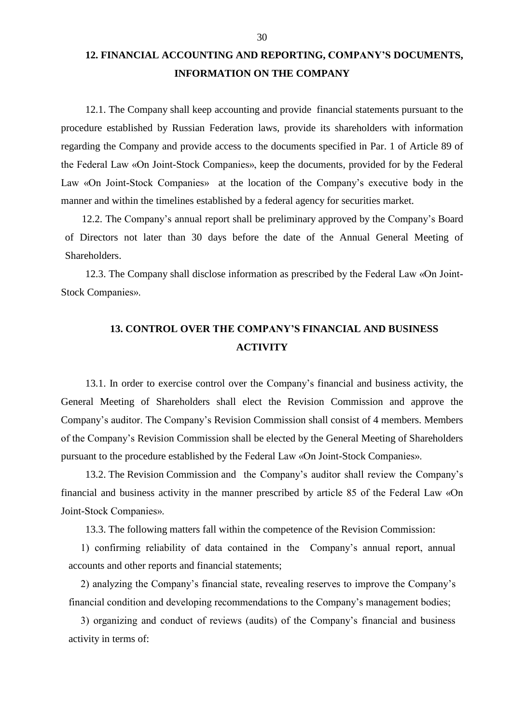# **12. FINANCIAL ACCOUNTING AND REPORTING, COMPANY'S DOCUMENTS, INFORMATION ON THE COMPANY**

12.1. The Company shall keep accounting and provide financial statements pursuant to the procedure established by Russian Federation laws, provide its shareholders with information regarding the Company and provide access to the documents specified in Par. 1 of Article 89 of the Federal Law «On Joint-Stock Companies», keep the documents, provided for by the Federal Law «On Joint-Stock Companies» at the location of the Company's executive body in the manner and within the timelines established by a federal agency for securities market.

12.2. The Company"s annual report shall be preliminary approved by the Company"s Board of Directors not later than 30 days before the date of the Annual General Meeting of Shareholders.

12.3. The Company shall disclose information as prescribed by the Federal Law «On Joint-Stock Companies».

## **13. CONTROL OVER THE COMPANY'S FINANCIAL AND BUSINESS ACTIVITY**

13.1. In order to exercise control over the Company"s financial and business activity, the General Meeting of Shareholders shall elect the Revision Commission and approve the Company"s auditor. The Company"s Revision Commission shall consist of 4 members. Members of the Company"s Revision Commission shall be elected by the General Meeting of Shareholders pursuant to the procedure established by the Federal Law «On Joint-Stock Companies».

13.2. The Revision Commission and the Company"s auditor shall review the Company"s financial and business activity in the manner prescribed by article 85 of the Federal Law «On Joint-Stock Companies».

13.3. The following matters fall within the competence of the Revision Commission:

1) confirming reliability of data contained in the Company"s annual report, annual accounts and other reports and financial statements;

2) analyzing the Company"s financial state, revealing reserves to improve the Company"s financial condition and developing recommendations to the Company"s management bodies;

3) organizing and conduct of reviews (audits) of the Company"s financial and business activity in terms of: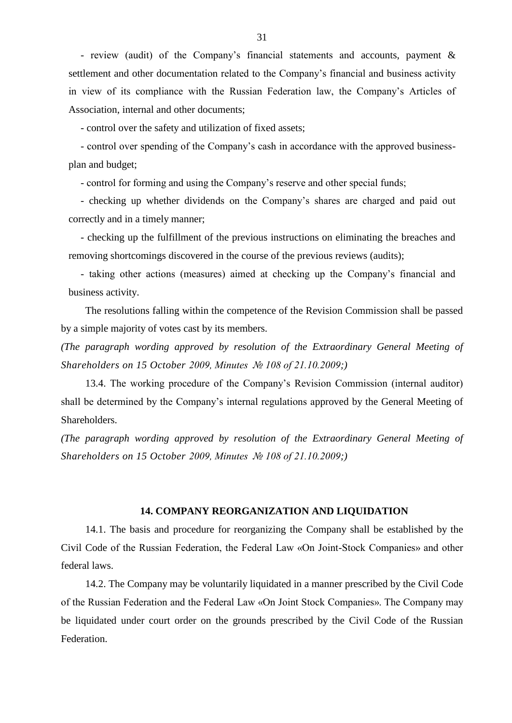- review (audit) of the Company"s financial statements and accounts, payment & settlement and other documentation related to the Company's financial and business activity in view of its compliance with the Russian Federation law, the Company"s Articles of Association, internal and other documents;

- control over the safety and utilization of fixed assets;

- control over spending of the Company"s cash in accordance with the approved businessplan and budget;

- control for forming and using the Company"s reserve and other special funds;

- checking up whether dividends on the Company's shares are charged and paid out correctly and in a timely manner;

- checking up the fulfillment of the previous instructions on eliminating the breaches and removing shortcomings discovered in the course of the previous reviews (audits);

- taking other actions (measures) aimed at checking up the Company"s financial and business activity.

The resolutions falling within the competence of the Revision Commission shall be passed by a simple majority of votes cast by its members.

*(The paragraph wording approved by resolution of the Extraordinary General Meeting of Shareholders on 15 October 2009, Minutes № 108 of 21.10.2009;)*

13.4. The working procedure of the Company"s Revision Commission (internal auditor) shall be determined by the Company"s internal regulations approved by the General Meeting of Shareholders.

*(The paragraph wording approved by resolution of the Extraordinary General Meeting of Shareholders on 15 October 2009, Minutes № 108 of 21.10.2009;)*

### **14. COMPANY REORGANIZATION AND LIQUIDATION**

14.1. The basis and procedure for reorganizing the Company shall be established by the Civil Code of the Russian Federation, the Federal Law «On Joint-Stock Companies» and other federal laws.

14.2. The Company may be voluntarily liquidated in a manner prescribed by the Civil Code of the Russian Federation and the Federal Law «On Joint Stock Companies». The Company may be liquidated under court order on the grounds prescribed by the Civil Code of the Russian Federation.